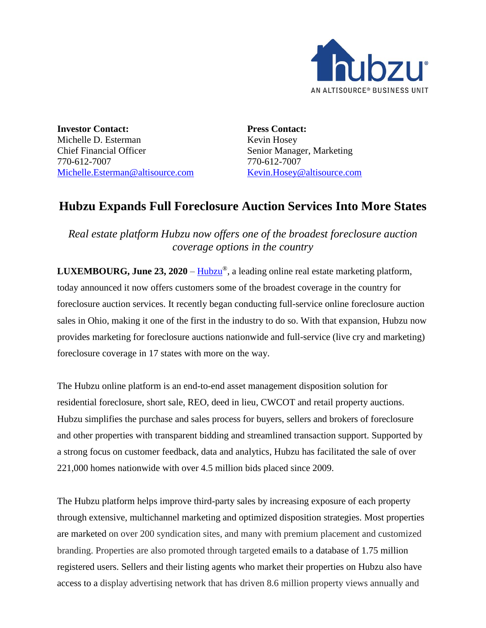

**Investor Contact:** Michelle D. Esterman Chief Financial Officer 770-612-7007 [Michelle.Esterman@altisource.com](mailto:Michelle.Esterman@altisource.com) **Press Contact:** Kevin Hosey Senior Manager, Marketing 770-612-7007 [Kevin.Hosey@altisource.com](mailto:Kevin.Hosey@altisource.com)

## **Hubzu Expands Full Foreclosure Auction Services Into More States**

*Real estate platform Hubzu now offers one of the broadest foreclosure auction coverage options in the country*

**LUXEMBOURG, June 23, 2020** – [Hubzu](http://www.hubzu.com/)®, a leading online real estate marketing platform, today announced it now offers customers some of the broadest coverage in the country for foreclosure auction services. It recently began conducting full-service online foreclosure auction sales in Ohio, making it one of the first in the industry to do so. With that expansion, Hubzu now provides marketing for foreclosure auctions nationwide and full-service (live cry and marketing) foreclosure coverage in 17 states with more on the way.

The Hubzu online platform is an end-to-end asset management disposition solution for residential foreclosure, short sale, REO, deed in lieu, CWCOT and retail property auctions. Hubzu simplifies the purchase and sales process for buyers, sellers and brokers of foreclosure and other properties with transparent bidding and streamlined transaction support. Supported by a strong focus on customer feedback, data and analytics, Hubzu has facilitated the sale of over 221,000 homes nationwide with over 4.5 million bids placed since 2009.

The Hubzu platform helps improve third-party sales by increasing exposure of each property through extensive, multichannel marketing and optimized disposition strategies. Most properties are marketed on over 200 syndication sites, and many with premium placement and customized branding. Properties are also promoted through targeted emails to a database of 1.75 million registered users. Sellers and their listing agents who market their properties on Hubzu also have access to a display advertising network that has driven 8.6 million property views annually and